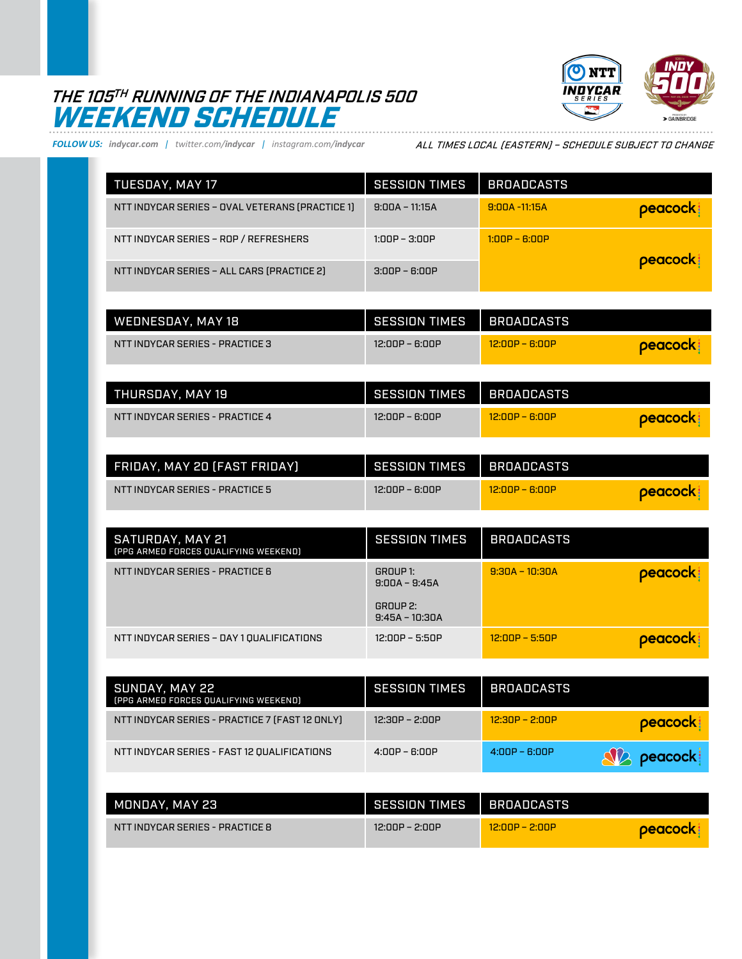## THE 105TH RUNNING OF THE INDIANAPOLIS 500 WEEKEND SCHEDULE



*FOLLOW US: indycar.com | twitter.com/indycar | instagram.com/indycar*

ALL TIMES LOCAL (EASTERN) – SCHEDULE SUBJECT TO CHANGE

| <b>TUESDAY, MAY 17</b>                          | <b>SESSION TIMES</b> | <b>BROADCASTS</b> |          |
|-------------------------------------------------|----------------------|-------------------|----------|
| NTT INDYCAR SERIES - OVAL VETERANS (PRACTICE 1) | $9:00A - 11:15A$     | $9:00A - 11:15A$  | peacock! |
| NTT INDYCAR SERIES - ROP / REFRESHERS           | $1:00P - 3:00P$      | $1:00P - 6:00P$   |          |
| NTT INDYCAR SERIES - ALL CARS (PRACTICE 2)      | $3:00P - 6:00P$      |                   | peacock: |

| WEDNESDAY, MAY 18               | <b>SESSION TIMES</b> | BROADCASTS       |                |
|---------------------------------|----------------------|------------------|----------------|
| NTT INDYCAR SERIES - PRACTICE 3 | 12:00P – 6:00P       | $12:00P - 6:00P$ | <b>Deacock</b> |

| THURSDAY. MAY 19                | SESSION TIMES  | I BROADCASTS     |                 |
|---------------------------------|----------------|------------------|-----------------|
| NTT INDYCAR SERIES - PRACTICE 4 | 12:00P – 6:00P | $12:00P - R:00P$ | <b>Deacock!</b> |

| FRIDAY, MAY 20 (FAST FRIDAY)    | <b>SESSION TIMES</b> | I BROADCASTS     |                |
|---------------------------------|----------------------|------------------|----------------|
| NTT INDYCAR SERIES - PRACTICE 5 | 12:00P – 6:00P       | $12:00P - B:00P$ | <b>Deacock</b> |

| SATURDAY, MAY 21<br>[PPG ARMED FORCES QUALIFYING WEEKEND] | <b>SESSION TIMES</b>                                        | <b>BROADCASTS</b> |          |
|-----------------------------------------------------------|-------------------------------------------------------------|-------------------|----------|
| NTT INDYCAR SERIES - PRACTICE 6                           | GROUP 1:<br>$9:00A - 9:45A$<br>GROUP 2:<br>$9:45A - 10:30A$ | $9:30A - 10:30A$  | peacock: |
| NTT INDYCAR SERIES - DAY 1 QUALIFICATIONS                 | 12:00P – 5:50P                                              | $12:00P - 5:50P$  | peacock: |

| SUNDAY. MAY 22<br>[PPG ARMED FORCES QUALIFYING WEEKEND] | <b>SESSION TIMES</b> | <b>BROADCASTS</b> |                    |
|---------------------------------------------------------|----------------------|-------------------|--------------------|
| NTT INDYCAR SERIES - PRACTICE 7 [FAST 12 ONLY]          | $12:30P - 2:00P$     | $12:30P - 2:00P$  | peacock:           |
| NTT INDYCAR SERIES - FAST 12 QUALIFICATIONS             | $4:00P - 6:00P$      | $4:00P - 6:00P$   | <b>SIA</b> peacock |

| MONDAY. MAY 23                  | SESSION TIMES    | I BROADCASTS     |                |
|---------------------------------|------------------|------------------|----------------|
| NTT INDYCAR SERIES - PRACTICE 8 | $12:00P - 2:00P$ | $12.00P - 2.00P$ | <b>peacock</b> |